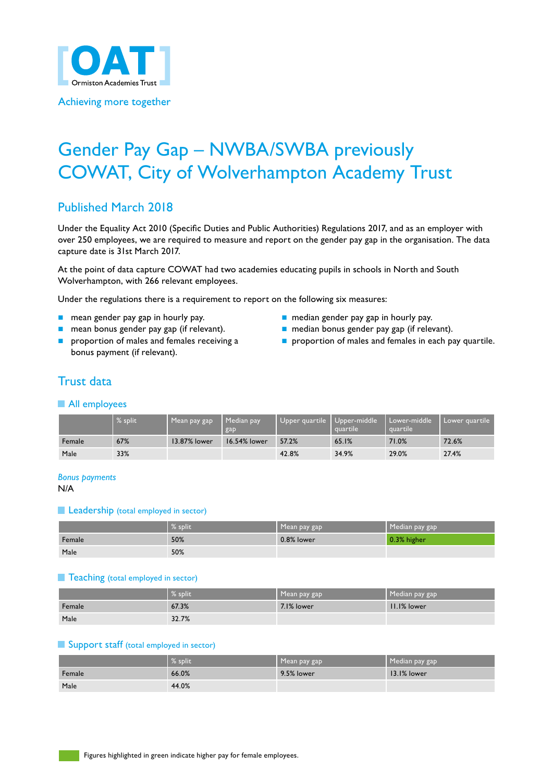

Achieving more together

# Gender Pay Gap – NWBA/SWBA previously COWAT, City of Wolverhampton Academy Trust

# Published March 2018

Under the Equality Act 2010 (Specific Duties and Public Authorities) Regulations 2017, and as an employer with over 250 employees, we are required to measure and report on the gender pay gap in the organisation. The data capture date is 31st March 2017.

At the point of data capture COWAT had two academies educating pupils in schools in North and South Wolverhampton, with 266 relevant employees.

Under the regulations there is a requirement to report on the following six measures:

- 
- 
- bonus payment (if relevant).
- n mean gender pay gap in hourly pay. n median gender pay gap in hourly pay.
- n mean bonus gender pay gap (if relevant). nedian bonus gender pay gap (if relevant).
- **n** proportion of males and females receiving a n proportion of males and females in each pay quartile.

# Trust data

#### **All employees**

|        | % split | Mean pay gap | Median pay<br>gap | Upper quartile   Upper-middle | squartile' | Lower-middle<br>quartile | I Lower guartile |
|--------|---------|--------------|-------------------|-------------------------------|------------|--------------------------|------------------|
| Female | 67%     | 13.87% lower | 16.54% lower      | 57.2%                         | 65.1%      | 71.0%                    | 72.6%            |
| Male   | 33%     |              |                   | 42.8%                         | 34.9%      | 29.0%                    | 27.4%            |

*Bonus payments*

N/A

#### **Leadership** (total employed in sector)

|        | $\%$ split | Mean pay gap | Median pay gap |
|--------|------------|--------------|----------------|
| Female | 50%        | 0.8% lower   | 0.3% higher    |
| Male   | 50%        |              |                |

#### **Teaching** (total employed in sector)

|        | $%$ split | Mean pay gap | Median pay gap |
|--------|-----------|--------------|----------------|
| Female | 67.3%     | 7.1% lower   | II.I% lower    |
| Male   | 32.7%     |              |                |

#### **Support staff (total employed in sector)**

|        | % split | Mean pay gap | Median pay gap |
|--------|---------|--------------|----------------|
| Female | 66.0%   | 9.5% lower   | 13.1% lower    |
| Male   | 44.0%   |              |                |